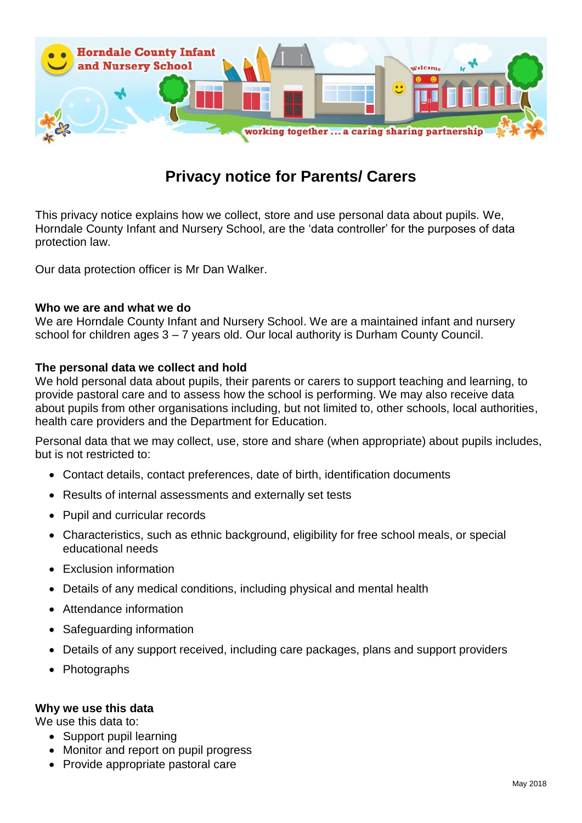

# **Privacy notice for Parents/ Carers**

This privacy notice explains how we collect, store and use personal data about pupils. We, Horndale County Infant and Nursery School, are the 'data controller' for the purposes of data protection law.

Our data protection officer is Mr Dan Walker.

#### **Who we are and what we do**

We are Horndale County Infant and Nursery School. We are a maintained infant and nursery school for children ages 3 – 7 years old. Our local authority is Durham County Council.

# **The personal data we collect and hold**

We hold personal data about pupils, their parents or carers to support teaching and learning, to provide pastoral care and to assess how the school is performing. We may also receive data about pupils from other organisations including, but not limited to, other schools, local authorities, health care providers and the Department for Education.

Personal data that we may collect, use, store and share (when appropriate) about pupils includes, but is not restricted to:

- Contact details, contact preferences, date of birth, identification documents
- Results of internal assessments and externally set tests
- Pupil and curricular records
- Characteristics, such as ethnic background, eligibility for free school meals, or special educational needs
- Exclusion information
- Details of any medical conditions, including physical and mental health
- Attendance information
- Safeguarding information
- Details of any support received, including care packages, plans and support providers
- Photographs

#### **Why we use this data**

We use this data to:

- Support pupil learning
- Monitor and report on pupil progress
- Provide appropriate pastoral care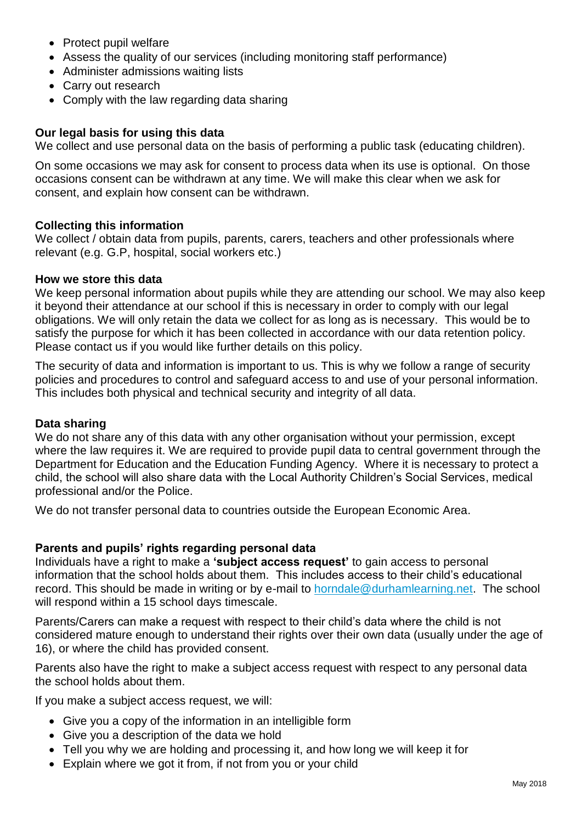- Protect pupil welfare
- Assess the quality of our services (including monitoring staff performance)
- Administer admissions waiting lists
- Carry out research
- Comply with the law regarding data sharing

# **Our legal basis for using this data**

We collect and use personal data on the basis of performing a public task (educating children).

On some occasions we may ask for consent to process data when its use is optional. On those occasions consent can be withdrawn at any time. We will make this clear when we ask for consent, and explain how consent can be withdrawn.

# **Collecting this information**

We collect / obtain data from pupils, parents, carers, teachers and other professionals where relevant (e.g. G.P, hospital, social workers etc.)

#### **How we store this data**

We keep personal information about pupils while they are attending our school. We may also keep it beyond their attendance at our school if this is necessary in order to comply with our legal obligations. We will only retain the data we collect for as long as is necessary. This would be to satisfy the purpose for which it has been collected in accordance with our data retention policy. Please contact us if you would like further details on this policy.

The security of data and information is important to us. This is why we follow a range of security policies and procedures to control and safeguard access to and use of your personal information. This includes both physical and technical security and integrity of all data.

# **Data sharing**

We do not share any of this data with any other organisation without your permission, except where the law requires it. We are required to provide pupil data to central government through the Department for Education and the Education Funding Agency. Where it is necessary to protect a child, the school will also share data with the Local Authority Children's Social Services, medical professional and/or the Police.

We do not transfer personal data to countries outside the European Economic Area.

# **Parents and pupils' rights regarding personal data**

Individuals have a right to make a **'subject access request'** to gain access to personal information that the school holds about them. This includes access to their child's educational record. This should be made in writing or by e-mail to [horndale@durhamlearning.net.](mailto:horndale@durhamlearning.net) The school will respond within a 15 school days timescale.

Parents/Carers can make a request with respect to their child's data where the child is not considered mature enough to understand their rights over their own data (usually under the age of 16), or where the child has provided consent.

Parents also have the right to make a subject access request with respect to any personal data the school holds about them.

If you make a subject access request, we will:

- Give you a copy of the information in an intelligible form
- Give you a description of the data we hold
- Tell you why we are holding and processing it, and how long we will keep it for
- Explain where we got it from, if not from you or your child